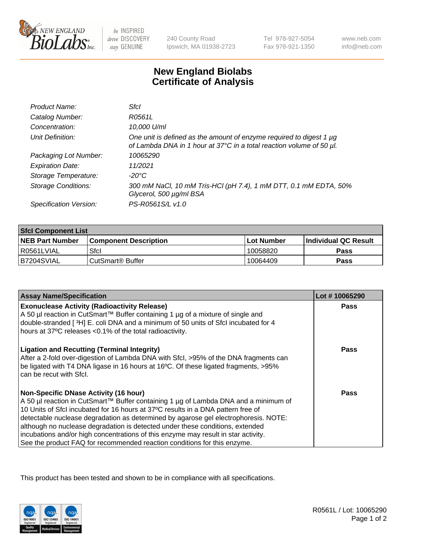

 $be$  INSPIRED drive DISCOVERY stay GENUINE

240 County Road Ipswich, MA 01938-2723 Tel 978-927-5054 Fax 978-921-1350

www.neb.com info@neb.com

## **New England Biolabs Certificate of Analysis**

| Product Name:              | Sfcl                                                                                                                                        |
|----------------------------|---------------------------------------------------------------------------------------------------------------------------------------------|
| Catalog Number:            | R0561L                                                                                                                                      |
| Concentration:             | 10,000 U/ml                                                                                                                                 |
| Unit Definition:           | One unit is defined as the amount of enzyme required to digest 1 µg<br>of Lambda DNA in 1 hour at 37°C in a total reaction volume of 50 µl. |
| Packaging Lot Number:      | 10065290                                                                                                                                    |
| <b>Expiration Date:</b>    | 11/2021                                                                                                                                     |
| Storage Temperature:       | $-20^{\circ}$ C                                                                                                                             |
| <b>Storage Conditions:</b> | 300 mM NaCl, 10 mM Tris-HCl (pH 7.4), 1 mM DTT, 0.1 mM EDTA, 50%<br>Glycerol, 500 µg/ml BSA                                                 |
| Specification Version:     | PS-R0561S/L v1.0                                                                                                                            |

| <b>Sfcl Component List</b> |                              |              |                             |  |
|----------------------------|------------------------------|--------------|-----------------------------|--|
| <b>NEB Part Number</b>     | <b>Component Description</b> | l Lot Number | <b>Individual QC Result</b> |  |
| R0561LVIAL                 | Sfcl                         | 10058820     | Pass                        |  |
| B7204SVIAL                 | CutSmart <sup>®</sup> Buffer | 10064409     | Pass                        |  |

| <b>Assay Name/Specification</b>                                                                                                                                                                                                                              | Lot #10065290 |
|--------------------------------------------------------------------------------------------------------------------------------------------------------------------------------------------------------------------------------------------------------------|---------------|
| <b>Exonuclease Activity (Radioactivity Release)</b>                                                                                                                                                                                                          | Pass          |
| A 50 µl reaction in CutSmart™ Buffer containing 1 µg of a mixture of single and<br>double-stranded [3H] E. coli DNA and a minimum of 50 units of Sfcl incubated for 4                                                                                        |               |
| hours at 37°C releases <0.1% of the total radioactivity.                                                                                                                                                                                                     |               |
| <b>Ligation and Recutting (Terminal Integrity)</b><br>After a 2-fold over-digestion of Lambda DNA with Sfcl, >95% of the DNA fragments can<br>be ligated with T4 DNA ligase in 16 hours at 16°C. Of these ligated fragments, >95%<br>can be recut with Sfcl. | <b>Pass</b>   |
| <b>Non-Specific DNase Activity (16 hour)</b>                                                                                                                                                                                                                 | Pass          |
| A 50 µl reaction in CutSmart™ Buffer containing 1 µg of Lambda DNA and a minimum of                                                                                                                                                                          |               |
| 10 Units of SfcI incubated for 16 hours at 37°C results in a DNA pattern free of                                                                                                                                                                             |               |
| detectable nuclease degradation as determined by agarose gel electrophoresis. NOTE:                                                                                                                                                                          |               |
| although no nuclease degradation is detected under these conditions, extended                                                                                                                                                                                |               |
| incubations and/or high concentrations of this enzyme may result in star activity.                                                                                                                                                                           |               |
| See the product FAQ for recommended reaction conditions for this enzyme.                                                                                                                                                                                     |               |

This product has been tested and shown to be in compliance with all specifications.